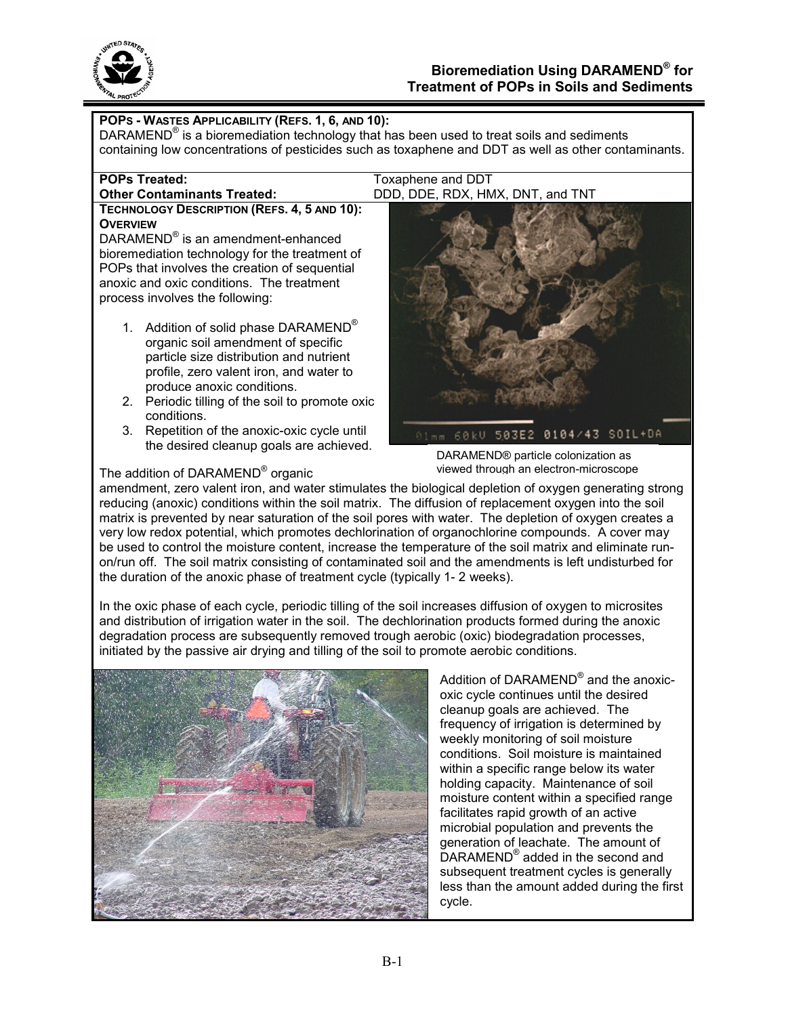

| POPS - WASTES APPLICABILITY (REFS. 1, 6, AND 10):<br>DARAMEND® is a bioremediation technology that has been used to treat soils and sediments                                                                                                                                           |                                                                                                        |
|-----------------------------------------------------------------------------------------------------------------------------------------------------------------------------------------------------------------------------------------------------------------------------------------|--------------------------------------------------------------------------------------------------------|
|                                                                                                                                                                                                                                                                                         | containing low concentrations of pesticides such as toxaphene and DDT as well as other contaminants.   |
| <b>POPs Treated:</b>                                                                                                                                                                                                                                                                    | Toxaphene and DDT                                                                                      |
| <b>Other Contaminants Treated:</b>                                                                                                                                                                                                                                                      | DDD, DDE, RDX, HMX, DNT, and TNT                                                                       |
| TECHNOLOGY DESCRIPTION (REFS. 4, 5 AND 10):<br><b>OVERVIEW</b><br>DARAMEND® is an amendment-enhanced<br>bioremediation technology for the treatment of<br>POPs that involves the creation of sequential<br>anoxic and oxic conditions. The treatment<br>process involves the following: |                                                                                                        |
| 1. Addition of solid phase DARAMEND <sup>®</sup><br>organic soil amendment of specific<br>particle size distribution and nutrient<br>profile, zero valent iron, and water to<br>produce anoxic conditions.                                                                              |                                                                                                        |
| Periodic tilling of the soil to promote oxic<br>2 <sup>1</sup><br>conditions.                                                                                                                                                                                                           |                                                                                                        |
| 3.<br>Repetition of the anoxic-oxic cycle until<br>the desired cleanup goals are achieved.                                                                                                                                                                                              | 01mm 60kV 503E2 0104/43 SOIL+DA<br>DARAMEND® particle colonization as                                  |
| The addition of DARAMEND <sup>®</sup> organic                                                                                                                                                                                                                                           | viewed through an electron-microscope                                                                  |
|                                                                                                                                                                                                                                                                                         | amendment, zero valent iron, and water stimulates the biological depletion of oxygen generating strong |

ind water stimulates the biological depletion of oxygen generating strong reducing (anoxic) conditions within the soil matrix. The diffusion of replacement oxygen into the soil matrix is prevented by near saturation of the soil pores with water. The depletion of oxygen creates a very low redox potential, which promotes dechlorination of organochlorine compounds. A cover may be used to control the moisture content, increase the temperature of the soil matrix and eliminate runon/run off. The soil matrix consisting of contaminated soil and the amendments is left undisturbed for the duration of the anoxic phase of treatment cycle (typically 1- 2 weeks).

In the oxic phase of each cycle, periodic tilling of the soil increases diffusion of oxygen to microsites and distribution of irrigation water in the soil. The dechlorination products formed during the anoxic degradation process are subsequently removed trough aerobic (oxic) biodegradation processes, initiated by the passive air drying and tilling of the soil to promote aerobic conditions.



Addition of DARAMEND® and the anoxicoxic cycle continues until the desired cleanup goals are achieved. The frequency of irrigation is determined by weekly monitoring of soil moisture conditions. Soil moisture is maintained within a specific range below its water holding capacity. Maintenance of soil moisture content within a specified range facilitates rapid growth of an active microbial population and prevents the generation of leachate. The amount of DARAMEND<sup>®</sup> added in the second and subsequent treatment cycles is generally less than the amount added during the first cycle.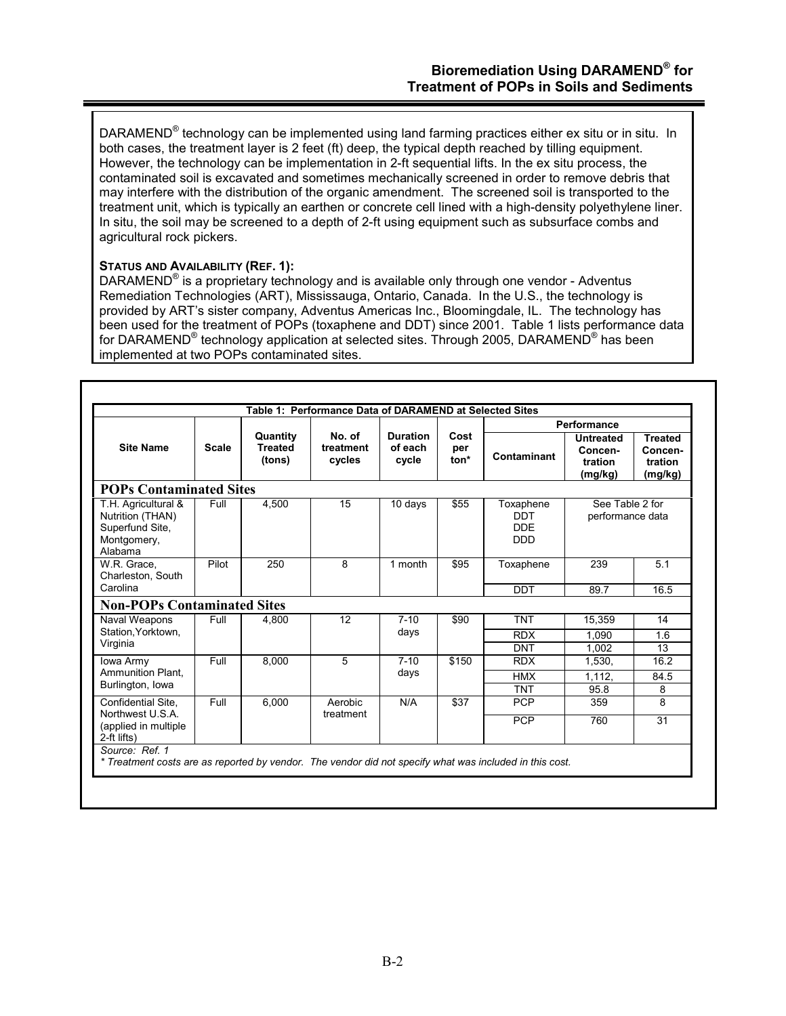DARAMEND<sup>®</sup> technology can be implemented using land farming practices either ex situ or in situ. In both cases, the treatment layer is 2 feet (ft) deep, the typical depth reached by tilling equipment. However, the technology can be implementation in 2-ft sequential lifts. In the ex situ process, the contaminated soil is excavated and sometimes mechanically screened in order to remove debris that may interfere with the distribution of the organic amendment. The screened soil is transported to the treatment unit, which is typically an earthen or concrete cell lined with a high-density polyethylene liner. In situ, the soil may be screened to a depth of 2-ft using equipment such as subsurface combs and agricultural rock pickers.

# **STATUS AND AVAILABILITY (REF. 1):**

DARAMEND<sup>®</sup> is a proprietary technology and is available only through one vendor - Adventus Remediation Technologies (ART), Mississauga, Ontario, Canada. In the U.S., the technology is provided by ART's sister company, Adventus Americas Inc., Bloomingdale, IL. The technology has been used for the treatment of POPs (toxaphene and DDT) since 2001. Table 1 lists performance data for DARAMEND® technology application at selected sites. Through 2005, DARAMEND® has been implemented at two POPs contaminated sites.

|                                                                                      |              |                                      |                               |                                     |                     |                                                     | Performance                                       |                                                 |
|--------------------------------------------------------------------------------------|--------------|--------------------------------------|-------------------------------|-------------------------------------|---------------------|-----------------------------------------------------|---------------------------------------------------|-------------------------------------------------|
| <b>Site Name</b>                                                                     | <b>Scale</b> | Quantity<br><b>Treated</b><br>(tons) | No. of<br>treatment<br>cycles | <b>Duration</b><br>of each<br>cycle | Cost<br>per<br>ton* | Contaminant                                         | <b>Untreated</b><br>Concen-<br>tration<br>(mg/kg) | <b>Treated</b><br>Concen-<br>tration<br>(mg/kg) |
| <b>POPs Contaminated Sites</b>                                                       |              |                                      |                               |                                     |                     |                                                     |                                                   |                                                 |
| T.H. Agricultural &<br>Nutrition (THAN)<br>Superfund Site,<br>Montgomery,<br>Alabama | Full         | 4,500                                | 15                            | 10 days                             | \$55                | Toxaphene<br><b>DDT</b><br><b>DDE</b><br><b>DDD</b> | See Table 2 for<br>performance data               |                                                 |
| W.R. Grace.<br>Charleston, South<br>Carolina                                         | Pilot        | 250                                  | 8                             | 1 month                             | \$95                | Toxaphene<br><b>DDT</b>                             | 239<br>89.7                                       | 5.1<br>16.5                                     |
| <b>Non-POPs Contaminated Sites</b>                                                   |              |                                      |                               |                                     |                     |                                                     |                                                   |                                                 |
| Naval Weapons                                                                        | Full         | 4,800                                | 12                            | $7 - 10$                            | \$90                | <b>TNT</b>                                          | 15,359                                            | 14                                              |
| Station, Yorktown,                                                                   |              |                                      |                               | days                                |                     | <b>RDX</b>                                          | 1.090                                             | 1.6                                             |
| Virginia                                                                             |              |                                      |                               |                                     |                     | <b>DNT</b>                                          | 1.002                                             | 13                                              |
| Iowa Army                                                                            | Full         | 8.000                                | 5                             | $7 - 10$                            | \$150               | <b>RDX</b>                                          | 1,530,                                            | 16.2                                            |
| Ammunition Plant.                                                                    |              |                                      |                               | days                                |                     | <b>HMX</b>                                          | 1.112.                                            | 84.5                                            |
| Burlington, Iowa                                                                     |              |                                      |                               |                                     |                     | <b>TNT</b>                                          | 95.8                                              | 8                                               |
| Confidential Site.                                                                   | Full         | 6.000                                | Aerobic                       | N/A                                 | \$37                | <b>PCP</b>                                          | 359                                               | 8                                               |
| Northwest U.S.A.<br>(applied in multiple)<br>2-ft lifts)                             |              |                                      | treatment                     |                                     |                     | <b>PCP</b>                                          | 760                                               | 31                                              |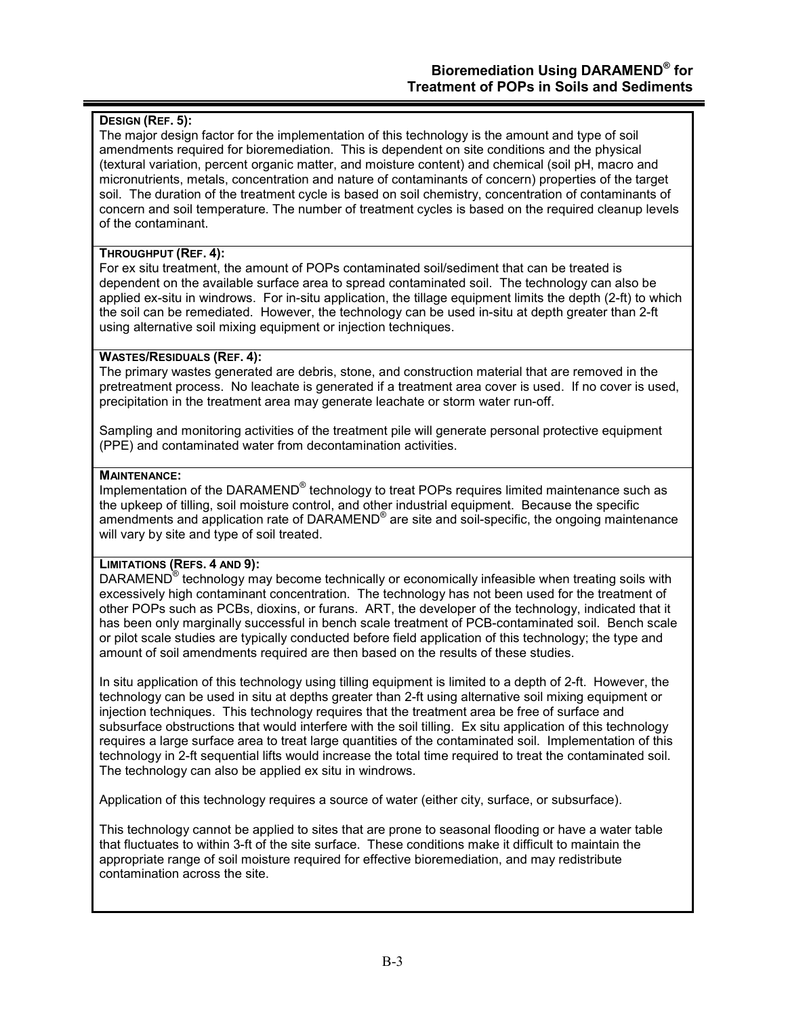# **DESIGN (REF. 5):**

The major design factor for the implementation of this technology is the amount and type of soil amendments required for bioremediation. This is dependent on site conditions and the physical (textural variation, percent organic matter, and moisture content) and chemical (soil pH, macro and micronutrients, metals, concentration and nature of contaminants of concern) properties of the target soil. The duration of the treatment cycle is based on soil chemistry, concentration of contaminants of concern and soil temperature. The number of treatment cycles is based on the required cleanup levels of the contaminant.

### **THROUGHPUT (REF. 4):**

For ex situ treatment, the amount of POPs contaminated soil/sediment that can be treated is dependent on the available surface area to spread contaminated soil. The technology can also be applied ex-situ in windrows. For in-situ application, the tillage equipment limits the depth (2-ft) to which the soil can be remediated. However, the technology can be used in-situ at depth greater than 2-ft using alternative soil mixing equipment or injection techniques.

## **WASTES/RESIDUALS (REF. 4):**

The primary wastes generated are debris, stone, and construction material that are removed in the pretreatment process. No leachate is generated if a treatment area cover is used. If no cover is used, precipitation in the treatment area may generate leachate or storm water run-off.

Sampling and monitoring activities of the treatment pile will generate personal protective equipment (PPE) and contaminated water from decontamination activities.

## **MAINTENANCE:**

Implementation of the DARAMEND<sup>®</sup> technology to treat POPs requires limited maintenance such as the upkeep of tilling, soil moisture control, and other industrial equipment. Because the specific amendments and application rate of DARAMEND<sup>®</sup> are site and soil-specific, the ongoing maintenance will vary by site and type of soil treated.

# **LIMITATIONS (REFS. 4 AND 9):**

DARAMEND<sup>®</sup> technology may become technically or economically infeasible when treating soils with excessively high contaminant concentration. The technology has not been used for the treatment of other POPs such as PCBs, dioxins, or furans. ART, the developer of the technology, indicated that it has been only marginally successful in bench scale treatment of PCB-contaminated soil. Bench scale or pilot scale studies are typically conducted before field application of this technology; the type and amount of soil amendments required are then based on the results of these studies.

In situ application of this technology using tilling equipment is limited to a depth of 2-ft. However, the technology can be used in situ at depths greater than 2-ft using alternative soil mixing equipment or injection techniques. This technology requires that the treatment area be free of surface and subsurface obstructions that would interfere with the soil tilling. Ex situ application of this technology requires a large surface area to treat large quantities of the contaminated soil. Implementation of this technology in 2-ft sequential lifts would increase the total time required to treat the contaminated soil. The technology can also be applied ex situ in windrows.

Application of this technology requires a source of water (either city, surface, or subsurface).

This technology cannot be applied to sites that are prone to seasonal flooding or have a water table that fluctuates to within 3-ft of the site surface. These conditions make it difficult to maintain the appropriate range of soil moisture required for effective bioremediation, and may redistribute contamination across the site.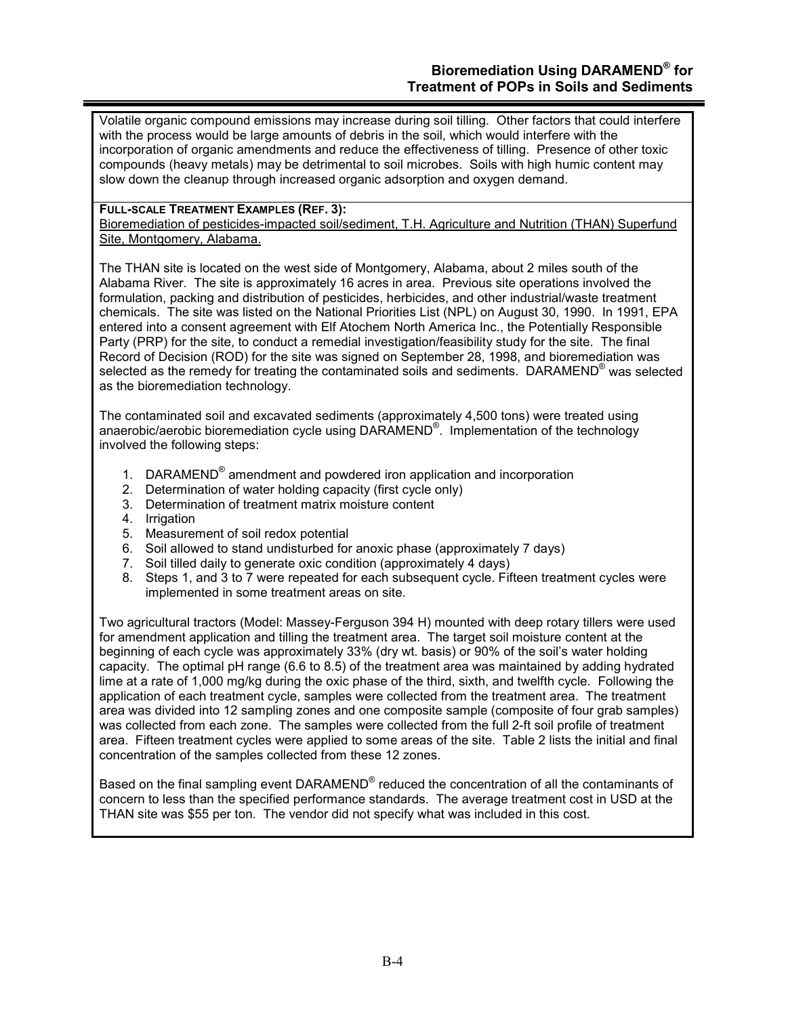Volatile organic compound emissions may increase during soil tilling. Other factors that could interfere with the process would be large amounts of debris in the soil, which would interfere with the incorporation of organic amendments and reduce the effectiveness of tilling. Presence of other toxic compounds (heavy metals) may be detrimental to soil microbes. Soils with high humic content may slow down the cleanup through increased organic adsorption and oxygen demand.

### **FULL-SCALE TREATMENT EXAMPLES (REF. 3):**

Bioremediation of pesticides-impacted soil/sediment, T.H. Agriculture and Nutrition (THAN) Superfund Site, Montgomery, Alabama.

The THAN site is located on the west side of Montgomery, Alabama, about 2 miles south of the Alabama River. The site is approximately 16 acres in area. Previous site operations involved the formulation, packing and distribution of pesticides, herbicides, and other industrial/waste treatment chemicals. The site was listed on the National Priorities List (NPL) on August 30, 1990. In 1991, EPA entered into a consent agreement with Elf Atochem North America Inc., the Potentially Responsible Party (PRP) for the site, to conduct a remedial investigation/feasibility study for the site. The final Record of Decision (ROD) for the site was signed on September 28, 1998, and bioremediation was selected as the remedy for treating the contaminated soils and sediments. DARAMEND® was selected as the bioremediation technology.

The contaminated soil and excavated sediments (approximately 4,500 tons) were treated using anaerobic/aerobic bioremediation cycle using DARAMEND®. Implementation of the technology involved the following steps:

- 1. DARAMEND<sup>®</sup> amendment and powdered iron application and incorporation
- 2. Determination of water holding capacity (first cycle only)
- 3. Determination of treatment matrix moisture content
- 4. Irrigation
- 5. Measurement of soil redox potential
- 6. Soil allowed to stand undisturbed for anoxic phase (approximately 7 days)
- 7. Soil tilled daily to generate oxic condition (approximately 4 days)
- 8. Steps 1, and 3 to 7 were repeated for each subsequent cycle. Fifteen treatment cycles were implemented in some treatment areas on site.

Two agricultural tractors (Model: Massey-Ferguson 394 H) mounted with deep rotary tillers were used for amendment application and tilling the treatment area. The target soil moisture content at the beginning of each cycle was approximately 33% (dry wt. basis) or 90% of the soil's water holding capacity. The optimal pH range (6.6 to 8.5) of the treatment area was maintained by adding hydrated lime at a rate of 1,000 mg/kg during the oxic phase of the third, sixth, and twelfth cycle. Following the application of each treatment cycle, samples were collected from the treatment area. The treatment area was divided into 12 sampling zones and one composite sample (composite of four grab samples) was collected from each zone. The samples were collected from the full 2-ft soil profile of treatment area. Fifteen treatment cycles were applied to some areas of the site. Table 2 lists the initial and final concentration of the samples collected from these 12 zones.

Based on the final sampling event DARAMEND<sup>®</sup> reduced the concentration of all the contaminants of concern to less than the specified performance standards. The average treatment cost in USD at the THAN site was \$55 per ton. The vendor did not specify what was included in this cost.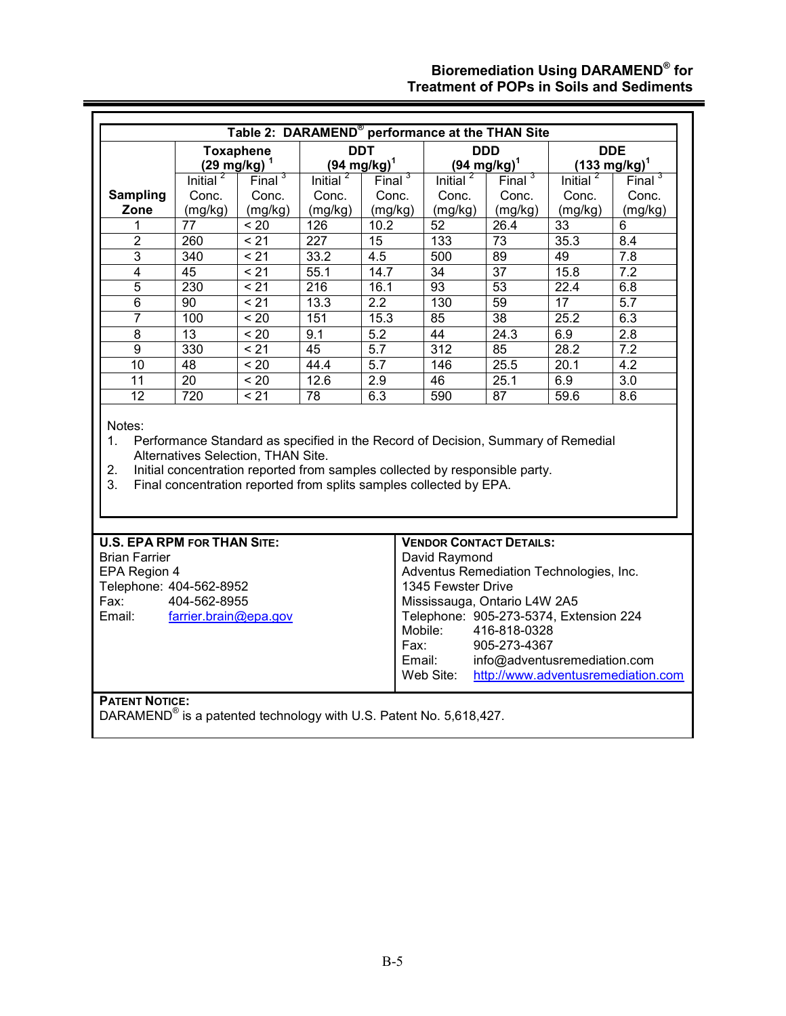# **Bioremediation Using DARAMEND® for Treatment of POPs in Soils and Sediments**

Ξ

|                                    | <b>Toxaphene</b><br>$(29 \text{ mg/kg})^1$ |                                    | <b>DDT</b><br>$(94 \text{ mg/kg})^1$ |                  | <b>DDD</b><br>$(94 \text{ mg/kg})^1$                                                                                                              |                    | <b>DDE</b><br>$(133 \text{ mg/kg})^1$                                                    |                    |
|------------------------------------|--------------------------------------------|------------------------------------|--------------------------------------|------------------|---------------------------------------------------------------------------------------------------------------------------------------------------|--------------------|------------------------------------------------------------------------------------------|--------------------|
|                                    | Initial $^2$                               | Final $3$                          | Initial $^2$                         | Final $3$        | Initial $^2$                                                                                                                                      | Final <sup>3</sup> | Initial $^2$                                                                             | Final <sup>3</sup> |
| <b>Sampling</b>                    | Conc.                                      | Conc.                              | Conc.                                | Conc.            | Conc.                                                                                                                                             | Conc.              | Conc.                                                                                    | Conc.              |
| Zone                               | (mg/kg)                                    | (mg/kg)                            | (mg/kg)                              | (mg/kg)          | (mg/kg)                                                                                                                                           | (mg/kg)            | (mg/kg)                                                                                  | (mg/kg)            |
| 1                                  | 77                                         | ~120                               | 126                                  | 10.2             | 52                                                                                                                                                | 26.4               | 33                                                                                       | 6                  |
| $\overline{2}$                     | 260                                        | $\overline{5}$                     | $\overline{227}$                     | 15               | 133                                                                                                                                               | $\overline{73}$    | 35.3                                                                                     | 8.4                |
| 3                                  | 340                                        | < 21                               | 33.2                                 | 4.5              | 500                                                                                                                                               | 89                 | 49                                                                                       | 7.8                |
| $\overline{4}$                     | 45                                         | $\overline{5}$                     | 55.1                                 | 14.7             | $\overline{34}$                                                                                                                                   | $\overline{37}$    | 15.8                                                                                     | 7.2                |
| $\overline{5}$                     | 230                                        | < 21                               | 216                                  | 16.1             | $\overline{93}$                                                                                                                                   | $\overline{53}$    | $\overline{22.4}$                                                                        | 6.8                |
| $\overline{6}$                     | $\overline{90}$                            | < 21                               | 13.3                                 | $\overline{2.2}$ | 130                                                                                                                                               | 59                 | $\overline{17}$                                                                          | $\overline{5.7}$   |
| $\overline{7}$                     | 100                                        | $\overline{5}$                     | 151                                  | 15.3             | 85                                                                                                                                                | 38                 | 25.2                                                                                     | 6.3                |
| 8                                  | $\overline{13}$                            | < 20                               | 9.1                                  | $\overline{5.2}$ | 44                                                                                                                                                | 24.3               | 6.9                                                                                      | 2.8                |
| 9                                  | 330                                        | < 21                               | 45                                   | 5.7              | $\overline{312}$                                                                                                                                  | 85                 | 28.2                                                                                     | 7.2                |
| $\overline{10}$                    | 48                                         | < 20                               | 44.4                                 | 5.7              | 146                                                                                                                                               | 25.5               | 20.1                                                                                     | 4.2                |
|                                    |                                            |                                    | 12.6                                 | 2.9              | 46                                                                                                                                                | 25.1               | 6.9                                                                                      | 3.0                |
| $\overline{11}$                    | $\overline{20}$                            | < 20                               |                                      |                  |                                                                                                                                                   |                    |                                                                                          |                    |
| 12<br>Notes:<br>1.                 | 720                                        | $\overline{5}$                     | $\overline{78}$                      | 6.3              | 590                                                                                                                                               | $\overline{87}$    | 59.6<br>Performance Standard as specified in the Record of Decision, Summary of Remedial | 8.6                |
| 2.<br>3.                           |                                            | Alternatives Selection, THAN Site. |                                      |                  | Initial concentration reported from samples collected by responsible party.<br>Final concentration reported from splits samples collected by EPA. |                    |                                                                                          |                    |
| <b>U.S. EPA RPM FOR THAN SITE:</b> |                                            |                                    |                                      |                  | <b>VENDOR CONTACT DETAILS:</b>                                                                                                                    |                    |                                                                                          |                    |